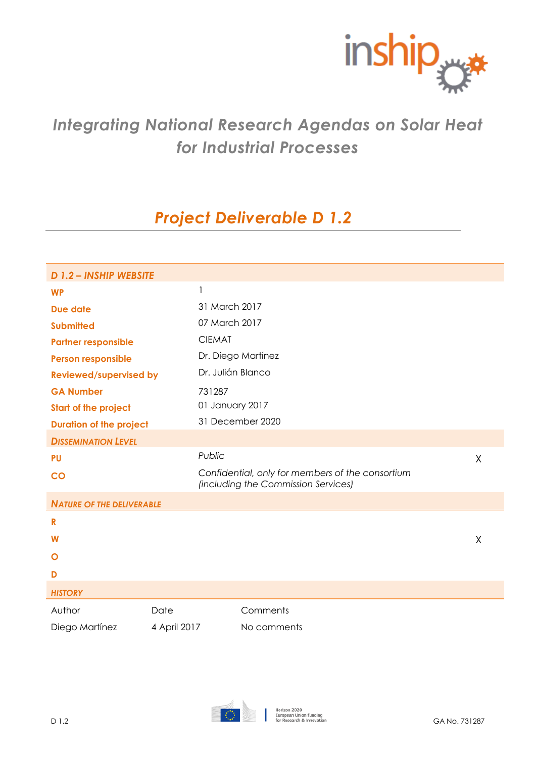

# *Integrating National Research Agendas on Solar Heat for Industrial Processes*

# *Project Deliverable D 1.2*

| D 1.2 - INSHIP WEBSITE           |                 |                                                                                         |   |
|----------------------------------|-----------------|-----------------------------------------------------------------------------------------|---|
| <b>WP</b>                        | 1               |                                                                                         |   |
| Due date                         | 31 March 2017   |                                                                                         |   |
| <b>Submitted</b>                 | 07 March 2017   |                                                                                         |   |
| <b>Partner responsible</b>       | <b>CIEMAT</b>   |                                                                                         |   |
| <b>Person responsible</b>        |                 | Dr. Diego Martínez                                                                      |   |
| <b>Reviewed/supervised by</b>    |                 | Dr. Julián Blanco                                                                       |   |
| <b>GA Number</b>                 | 731287          |                                                                                         |   |
| <b>Start of the project</b>      | 01 January 2017 |                                                                                         |   |
| <b>Duration of the project</b>   |                 | 31 December 2020                                                                        |   |
| <b>DISSEMINATION LEVEL</b>       |                 |                                                                                         |   |
| <b>PU</b>                        | Public          |                                                                                         | X |
| $\overline{c}$                   |                 | Confidential, only for members of the consortium<br>(including the Commission Services) |   |
| <b>NATURE OF THE DELIVERABLE</b> |                 |                                                                                         |   |
| $\mathbf R$                      |                 |                                                                                         |   |
| W                                |                 |                                                                                         | Χ |
| O                                |                 |                                                                                         |   |
| D                                |                 |                                                                                         |   |
| <b>HISTORY</b>                   |                 |                                                                                         |   |
| Author                           | Date            | Comments                                                                                |   |
| Diego Martínez                   | 4 April 2017    | No comments                                                                             |   |
|                                  |                 |                                                                                         |   |

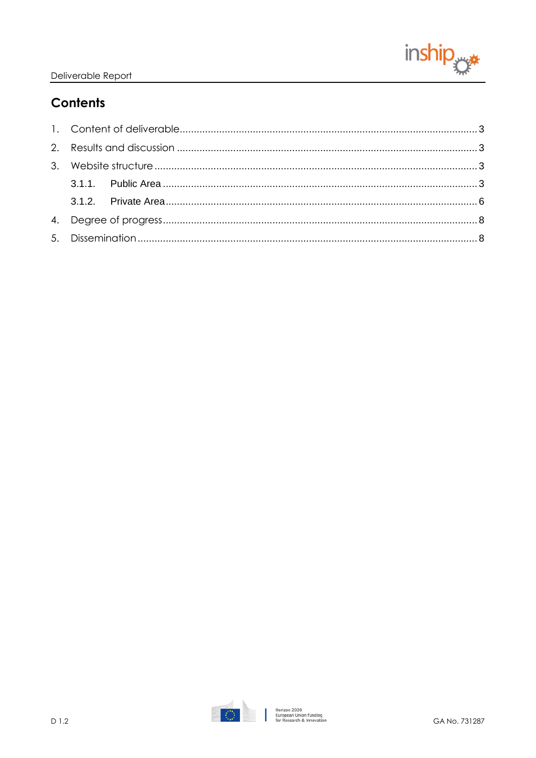

# **Contents**

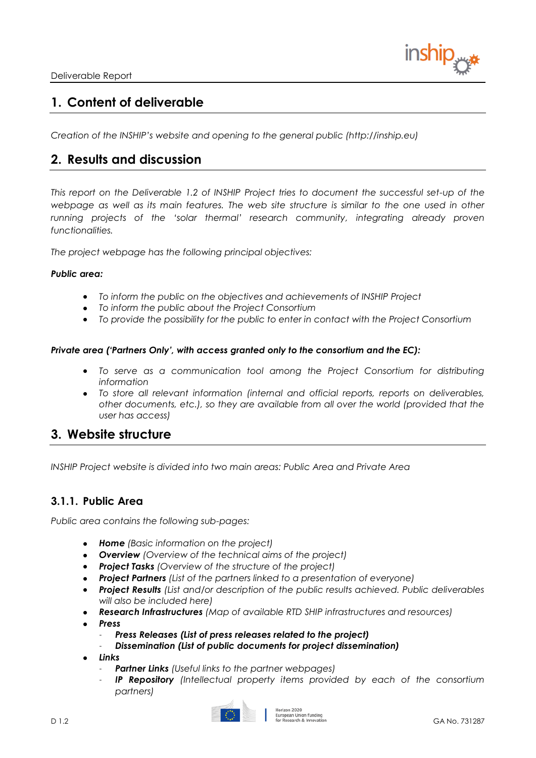## <span id="page-2-0"></span>**1. Content of deliverable**

*Creation of the INSHIP's website and opening to the general public (http://inship.eu)*

### <span id="page-2-1"></span>**2. Results and discussion**

*This report on the Deliverable 1.2 of INSHIP Project tries to document the successful set-up of the webpage as well as its main features. The web site structure is similar to the one used in other running projects of the 'solar thermal' research community, integrating already proven functionalities.*

*The project webpage has the following principal objectives:*

#### *Public area:*

- *To inform the public on the objectives and achievements of INSHIP Project*
- *To inform the public about the Project Consortium*
- *To provide the possibility for the public to enter in contact with the Project Consortium*

#### *Private area ('Partners Only', with access granted only to the consortium and the EC):*

- *To serve as a communication tool among the Project Consortium for distributing information*
- *To store all relevant information (internal and official reports, reports on deliverables, other documents, etc.), so they are available from all over the world (provided that the user has access)*

### <span id="page-2-2"></span>**3. Website structure**

*INSHIP Project website is divided into two main areas: Public Area and Private Area*

### <span id="page-2-3"></span>**3.1.1. Public Area**

*Public area contains the following sub-pages:*

- *[Home](http://www.stage-ste.eu/index.php) (Basic information on the project)*
- *[Overview](http://www.stage-ste.eu/overview.php) (Overview of the technical aims of the project)*
- *[Project Tasks](http://www.stage-ste.eu/tasks.php) (Overview of the structure of the project)*
- *[Project Partners](http://www.stage-ste.eu/partners.php) (List of the partners linked to a presentation of everyone)*
- *[Project Results](http://www.stage-ste.eu/results.php) (List and/or description of the public results achieved. Public deliverables will also be included here)*
- *Research Infrastructures (Map of available RTD SHIP infrastructures and resources)*
- *Press*
	- *[Press Releases](http://www.stage-ste.eu/press/pressreleases.php) (List of press releases related to the project)*
	- *[Dissemination](http://www.stage-ste.eu/press/disemination.php) (List of public documents for project dissemination)*
- *Links*
	- *[Partner Links](http://www.stage-ste.eu/links/partnerslinks.php) (Useful links to the partner webpages)*
	- *IP Repository (Intellectual property items provided by each of the consortium partners)*

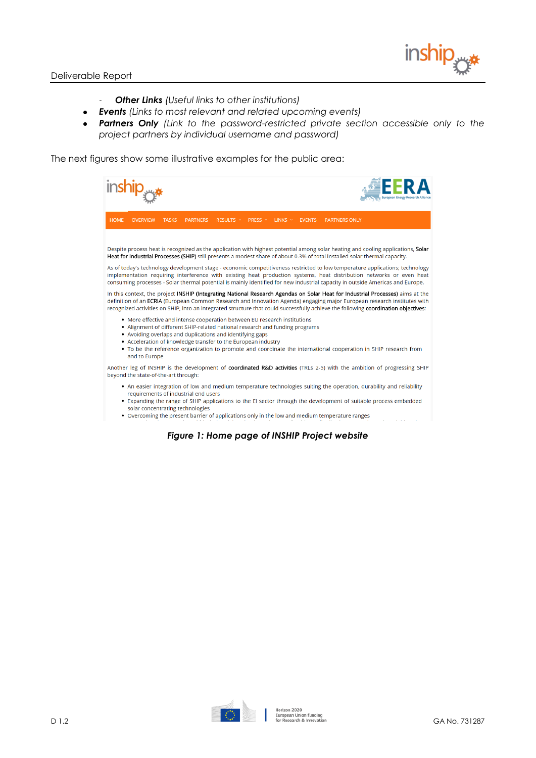

- *[Other Links](http://www.stage-ste.eu/links/otherlinks.php) (Useful links to other institutions)*
- *[Events](http://www.stage-ste.eu/events.php) (Links to most relevant and related upcoming events)*
- *[Partners Only](https://www.stage-ste.eu/private/index.php) (Link to the password-restricted private section accessible only to the project partners by individual username and password)*

The next figures show some illustrative examples for the public area:

| inship <sub>ryx</sub>                                                                                                                                                                                                                                                                                                                                                                                                        |                      |
|------------------------------------------------------------------------------------------------------------------------------------------------------------------------------------------------------------------------------------------------------------------------------------------------------------------------------------------------------------------------------------------------------------------------------|----------------------|
| <b>HOME</b><br><b>OVERVIEW</b><br><b>TASKS</b><br><b>PARTNERS</b><br>RESULTS Y<br><b>PRESS</b> $\vee$<br><b>LINKS</b> $\sim$<br><b>EVENTS</b>                                                                                                                                                                                                                                                                                | <b>PARTNERS ONLY</b> |
| Despite process heat is recognized as the application with highest potential among solar heating and cooling applications, Solar<br>Heat for Industrial Processes (SHIP) still presents a modest share of about 0.3% of total installed solar thermal capacity.                                                                                                                                                              |                      |
| As of today's technology development stage - economic competitiveness restricted to low temperature applications; technology<br>implementation requiring interference with existing heat production systems, heat distribution networks or even heat<br>consuming processes - Solar thermal potential is mainly identified for new industrial capacity in outside Americas and Europe.                                       |                      |
| In this context, the project INSHIP (Integrating National Research Agendas on Solar Heat for Industrial Processes) aims at the<br>definition of an ECRIA (European Common Research and Innovation Agenda) engaging major European research institutes with<br>recognized activities on SHIP, into an integrated structure that could successfully achieve the following coordination objectives:                             |                      |
| • More effective and intense cooperation between EU research institutions<br>• Alignment of different SHIP-related national research and funding programs<br>• Avoiding overlaps and duplications and identifying gaps<br>• Acceleration of knowledge transfer to the European industry<br>. To be the reference organization to promote and coordinate the international cooperation in SHIP research from<br>and to Europe |                      |
| Another leg of INSHIP is the development of coordinated R&D activities (TRLs 2-5) with the ambition of progressing SHIP<br>beyond the state-of-the-art through:                                                                                                                                                                                                                                                              |                      |
| . An easier integration of low and medium temperature technologies suiting the operation, durability and reliability<br>requirements of industrial end users<br>• Expanding the range of SHIP applications to the EI sector through the development of suitable process embedded<br>solar concentrating technologies<br>• Overcoming the present barrier of applications only in the low and medium temperature ranges       |                      |

*Figure 1: Home page of INSHIP Project website*

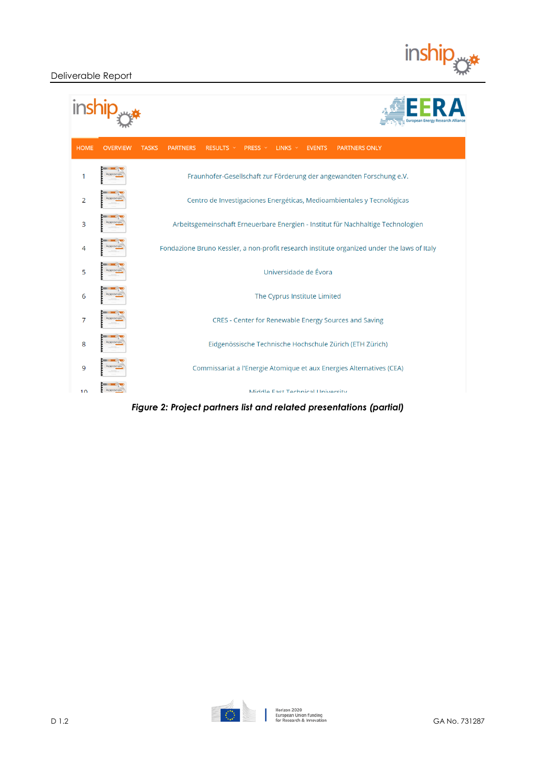

| <b>HOME</b>    | <b>OVERVIEW</b>     | <b>TASKS</b><br>LINKS $\vee$<br><b>PARTNERS ONLY</b><br><b>PARTNERS</b><br>RESULTS Y<br><b>PRESS</b> $\vee$<br><b>EVENTS</b> |
|----------------|---------------------|------------------------------------------------------------------------------------------------------------------------------|
| 1              | SENTATION           | Fraunhofer-Gesellschaft zur Förderung der angewandten Forschung e.V.                                                         |
| $\overline{2}$ | RESENTATION         | Centro de Investigaciones Energéticas, Medioambientales y Tecnológicas                                                       |
| 3              | <b>RESENTATION</b>  | Arbeitsgemeinschaft Erneuerbare Energien - Institut für Nachhaltige Technologien                                             |
| 4              | RESENTATION         | Fondazione Bruno Kessler, a non-profit research institute organized under the laws of Italy                                  |
| 5              | RESENTATION         | Universidade de Évora                                                                                                        |
| 6              |                     | The Cyprus Institute Limited                                                                                                 |
| 7              | ESENTATION          | CRES - Center for Renewable Energy Sources and Saving                                                                        |
| 8              | RESENTATION         | Eidgenössische Technische Hochschule Zürich (ETH Zürich)                                                                     |
| 9              | <b>PRESENTATION</b> | Commissariat a l'Energie Atomique et aux Energies Alternatives (CEA)                                                         |
| 1 <sub>0</sub> | ESPATATION          | Middle Fast Technical University                                                                                             |

*Figure 2: Project partners list and related presentations (partial)*

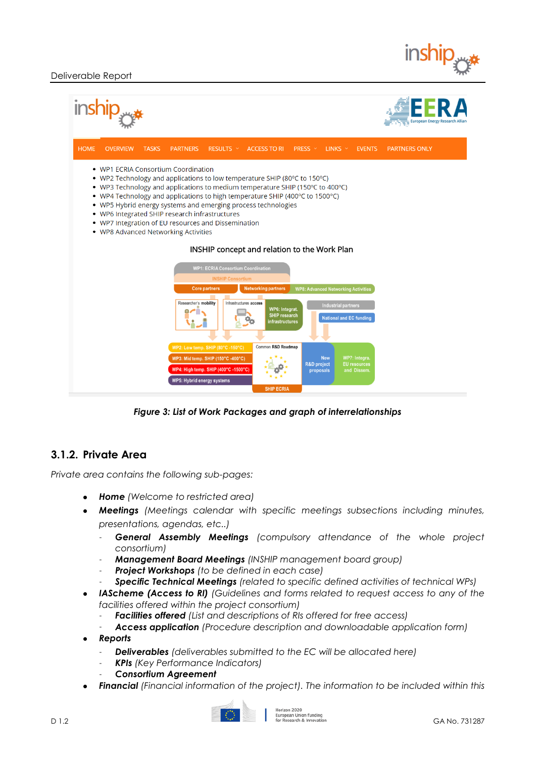

| inship <sub>rys</sub>                                                                                                                                                                                                                                                                                                                                                                                                                                                                                                                                                                                                                                     |                                                                                                                                                     |
|-----------------------------------------------------------------------------------------------------------------------------------------------------------------------------------------------------------------------------------------------------------------------------------------------------------------------------------------------------------------------------------------------------------------------------------------------------------------------------------------------------------------------------------------------------------------------------------------------------------------------------------------------------------|-----------------------------------------------------------------------------------------------------------------------------------------------------|
| <b>HOME</b><br><b>OVERVIEW</b><br><b>TASKS</b><br><b>PARTNERS</b><br>RESULTS Y                                                                                                                                                                                                                                                                                                                                                                                                                                                                                                                                                                            | ACCESS TO RI PRESS $\vee$<br>LINKS $\vee$<br><b>EVENTS</b><br><b>PARTNERS ONLY</b>                                                                  |
| • WP1 ECRIA Consortium Coordination<br>• WP2 Technology and applications to low temperature SHIP (80 $\degree$ C to 150 $\degree$ C)<br>• WP3 Technology and applications to medium temperature SHIP (150°C to 400°C)<br>• WP4 Technology and applications to high temperature SHIP (400°C to 1500°C)<br>WP5 Hybrid energy systems and emerging process technologies<br>٠<br>• WP6 Integrated SHIP research infrastructures<br>• WP7 Integration of EU resources and Dissemination<br>. WP8 Advanced Networking Activities<br><b>WP1: ECRIA Consortium Coordination</b><br><b>INSHIP Consortium</b><br><b>Core partners</b><br><b>Networking partners</b> | INSHIP concept and relation to the Work Plan<br><b>WP8: Advanced Networking Activities</b>                                                          |
| Researcher's mobility<br>Infrastructures access                                                                                                                                                                                                                                                                                                                                                                                                                                                                                                                                                                                                           | <b>Industrial partners</b><br>WP6: Integrat.<br><b>SHIP research</b><br><b>National and EC funding</b><br><b>infrastructures</b>                    |
| WP2: Low temp. SHIP (80°C -150°C)<br>WP3: Mid temp. SHIP (150°C -400°C)<br>WP4: High temp. SHIP (400°C -1500°C)<br>WP5: Hybrid energy systems                                                                                                                                                                                                                                                                                                                                                                                                                                                                                                             | Common R&D Roadmap<br>WP7: Integra.<br><b>New</b><br><b>R&amp;D</b> project<br><b>EU</b> resources<br>and Dissem.<br>proposals<br><b>SHIP ECRIA</b> |

*Figure 3: List of Work Packages and graph of interrelationships*

### <span id="page-5-0"></span>**3.1.2. Private Area**

*Private area contains the following sub-pages:* 

- *[Home](http://www.stage-ste.eu/private/index.php) (Welcome to restricted area)*
- *[Meetings](http://www.stage-ste.eu/private/meetings.php) (Meetings calendar with specific meetings subsections including minutes, presentations, agendas, etc..)*
	- *General Assembly Meetings (compulsory attendance of the whole project consortium)*
	- *Management Board Meetings (INSHIP management board group)*
	- *Project Workshops (to be defined in each case)*
	- *Specific Technical Meetings (related to specific defined activities of technical WPs)*
- *IAScheme (Access to RI) (Guidelines and forms related to request access to any of the facilities offered within the project consortium)*
	- *Facilities offered (List and descriptions of RIs offered for free access)*
	- *Access application (Procedure description and downloadable application form)*
- *[Reports](http://www.stage-ste.eu/private/reports.php)*
	- *[Deliverables](http://www.stage-ste.eu/private/reports/deliverables.php) (deliverables submitted to the EC will be allocated here)*
	- *[KPIs](http://www.stage-ste.eu/private/reports/kpis.php) (Key Performance Indicators)*
	- *Consortium Agreement*
- *[Financial](http://www.stage-ste.eu/private/financial.php) (Financial information of the project). The information to be included within this*

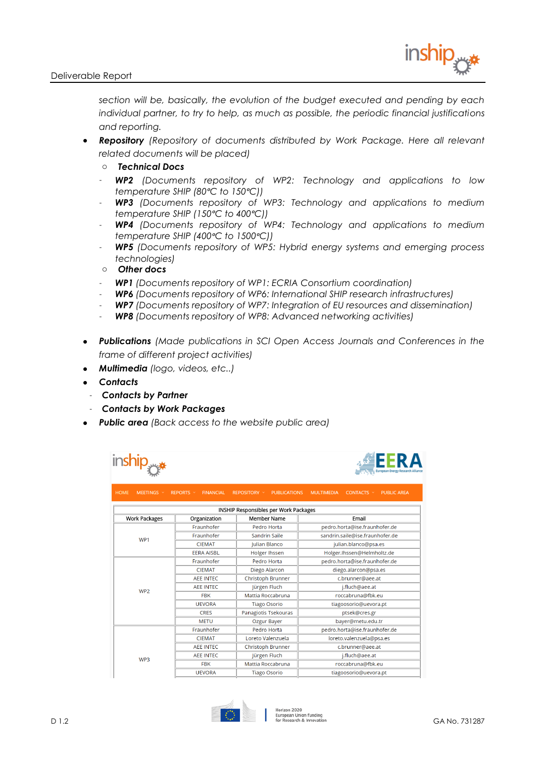

*section will be, basically, the evolution of the budget executed and pending by each individual partner, to try to help, as much as possible, the periodic financial justifications and reporting.* 

- *[Repository](http://www.stage-ste.eu/private/repository/index.php) (Repository of documents distributed by Work Package. Here all relevant related documents will be placed)*
	- o *Technical Docs*
	- *[WP2](http://www.stage-ste.eu/private/repository/wp2.php) (Documents repository of WP2: Technology and applications to low temperature SHIP (80ᵒC to 150ᵒC))*
	- *[WP3](http://www.stage-ste.eu/private/repository/wp3.php) (Documents repository of WP3: Technology and applications to medium temperature SHIP (150ᵒC to 400ᵒC))*
	- *[WP4](http://www.stage-ste.eu/private/repository/wp4.php) (Documents repository of WP4: Technology and applications to medium temperature SHIP (400ᵒC to 1500ᵒC))*
	- *[WP5](http://www.stage-ste.eu/private/repository/wp5.php) (Documents repository of WP5: Hybrid energy systems and emerging process technologies)*
	- o *Other docs*
	- *[WP1](http://www.stage-ste.eu/private/repository/wp1.php) (Documents repository of WP1: ECRIA Consortium coordination)*
	- *[WP6](http://www.stage-ste.eu/private/repository/wp6.php) (Documents repository of WP6: International SHIP research infrastructures)*
	- *[WP7](http://www.stage-ste.eu/private/repository/wp7.php) (Documents repository of WP7: Integration of EU resources and dissemination)*
	- *[WP8](http://www.stage-ste.eu/private/repository/wp8.php) (Documents repository of WP8: Advanced networking activities)*
- *[Publications](http://www.stage-ste.eu/private/publications.php) (Made publications in SCI Open Access Journals and Conferences in the frame of different project activities)*
- *Multimedia (logo, videos, etc..)*
- *[Contacts](http://www.stage-ste.eu/private/contacts.php)*
	- *[Contacts by Partner](http://www.stage-ste.eu/private/contactsbypartner.php)*
	- *[Contacts by Work Packages](http://www.stage-ste.eu/private/contactsbywp.php)*
- *[Public area](http://www.stage-ste.eu/index.php) (Back access to the website public area)*

| <b>HOME</b><br><b>FINANCIAL</b><br>REPOSITORY Y<br><b>PUBLICATIONS</b><br><b>MULTIMEDIA</b><br>MEETINGS ×<br>REPORTS Y<br>CONTACTS Y<br><b>INSHIP Responsibles per Work Packages</b><br><b>Member Name</b><br><b>Work Packages</b><br>Email<br>Organization<br>Fraunhofer<br>pedro.horta@ise.fraunhofer.de<br>Pedro Horta<br>sandrin.saile@ise.fraunhofer.de<br>Fraunhofer<br>Sandrin Saile | inship was<br><b>EERA</b><br><b>European Energy Research</b> |  |  |  |  |
|---------------------------------------------------------------------------------------------------------------------------------------------------------------------------------------------------------------------------------------------------------------------------------------------------------------------------------------------------------------------------------------------|--------------------------------------------------------------|--|--|--|--|
|                                                                                                                                                                                                                                                                                                                                                                                             | <b>PUBLIC AREA</b>                                           |  |  |  |  |
|                                                                                                                                                                                                                                                                                                                                                                                             |                                                              |  |  |  |  |
|                                                                                                                                                                                                                                                                                                                                                                                             |                                                              |  |  |  |  |
|                                                                                                                                                                                                                                                                                                                                                                                             |                                                              |  |  |  |  |
| WP1                                                                                                                                                                                                                                                                                                                                                                                         |                                                              |  |  |  |  |
| <b>CIEMAT</b><br>Julian Blanco<br>julian.blanco@psa.es                                                                                                                                                                                                                                                                                                                                      |                                                              |  |  |  |  |
| Holger.Ihssen@Helmholtz.de<br><b>EERA AISBL</b><br><b>Holger Ihssen</b>                                                                                                                                                                                                                                                                                                                     |                                                              |  |  |  |  |
| Fraunhofer<br>Pedro Horta<br>pedro.horta@ise.fraunhofer.de                                                                                                                                                                                                                                                                                                                                  |                                                              |  |  |  |  |
| <b>CIEMAT</b><br>Diego Alarcon<br>diego.alarcon@psa.es                                                                                                                                                                                                                                                                                                                                      |                                                              |  |  |  |  |
| <b>Christoph Brunner</b><br><b>AFE INTEC</b><br>c.brunner@aee.at                                                                                                                                                                                                                                                                                                                            |                                                              |  |  |  |  |
| Jürgen Fluch<br><b>AEE INTEC</b><br>j.fluch@aee.at<br>WP <sub>2</sub>                                                                                                                                                                                                                                                                                                                       |                                                              |  |  |  |  |
| Mattia Roccabruna<br>roccabruna@fbk.eu<br><b>FBK</b>                                                                                                                                                                                                                                                                                                                                        |                                                              |  |  |  |  |
| <b>UEVORA</b><br><b>Tiago Osorio</b><br>tiagoosorio@uevora.pt                                                                                                                                                                                                                                                                                                                               |                                                              |  |  |  |  |
| Panagiotis Tsekouras<br>ptsek@cres.gr<br><b>CRES</b>                                                                                                                                                                                                                                                                                                                                        |                                                              |  |  |  |  |
| <b>METU</b><br>bayer@metu.edu.tr<br>Ozgur Bayer                                                                                                                                                                                                                                                                                                                                             |                                                              |  |  |  |  |
| Fraunhofer<br>pedro.horta@ise.fraunhofer.de<br>Pedro Horta                                                                                                                                                                                                                                                                                                                                  |                                                              |  |  |  |  |
| <b>CIEMAT</b><br>Loreto Valenzuela<br>loreto.valenzuela@psa.es                                                                                                                                                                                                                                                                                                                              |                                                              |  |  |  |  |
| <b>AEE INTEC</b><br><b>Christoph Brunner</b><br>c.brunner@aee.at                                                                                                                                                                                                                                                                                                                            |                                                              |  |  |  |  |
| Jürgen Fluch<br><b>AEE INTEC</b><br>j.fluch@aee.at<br>WP3                                                                                                                                                                                                                                                                                                                                   |                                                              |  |  |  |  |
| Mattia Roccabruna<br>roccabruna@fbk.eu<br><b>FBK</b>                                                                                                                                                                                                                                                                                                                                        |                                                              |  |  |  |  |
| <b>UEVORA</b><br><b>Tiago Osorio</b><br>tiagoosorio@uevora.pt                                                                                                                                                                                                                                                                                                                               |                                                              |  |  |  |  |